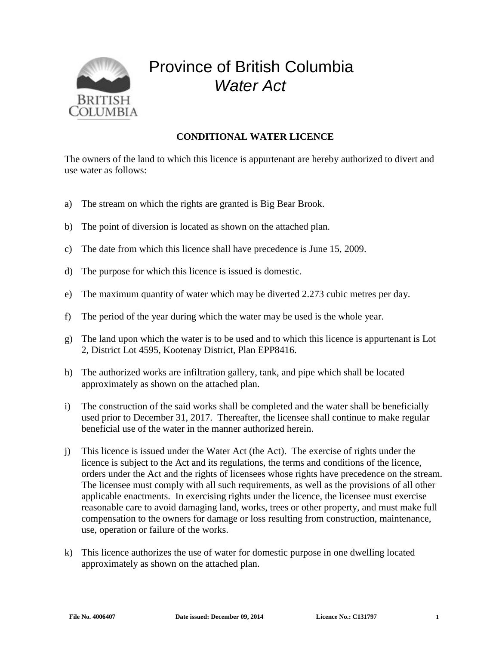

## Province of British Columbia *Water Act*

## **CONDITIONAL WATER LICENCE**

The owners of the land to which this licence is appurtenant are hereby authorized to divert and use water as follows:

- a) The stream on which the rights are granted is Big Bear Brook.
- b) The point of diversion is located as shown on the attached plan.
- c) The date from which this licence shall have precedence is June 15, 2009.
- d) The purpose for which this licence is issued is domestic.
- e) The maximum quantity of water which may be diverted 2.273 cubic metres per day.
- f) The period of the year during which the water may be used is the whole year.
- g) The land upon which the water is to be used and to which this licence is appurtenant is Lot 2, District Lot 4595, Kootenay District, Plan EPP8416.
- h) The authorized works are infiltration gallery, tank, and pipe which shall be located approximately as shown on the attached plan.
- i) The construction of the said works shall be completed and the water shall be beneficially used prior to December 31, 2017. Thereafter, the licensee shall continue to make regular beneficial use of the water in the manner authorized herein.
- j) This licence is issued under the Water Act (the Act). The exercise of rights under the licence is subject to the Act and its regulations, the terms and conditions of the licence, orders under the Act and the rights of licensees whose rights have precedence on the stream. The licensee must comply with all such requirements, as well as the provisions of all other applicable enactments. In exercising rights under the licence, the licensee must exercise reasonable care to avoid damaging land, works, trees or other property, and must make full compensation to the owners for damage or loss resulting from construction, maintenance, use, operation or failure of the works.
- k) This licence authorizes the use of water for domestic purpose in one dwelling located approximately as shown on the attached plan.